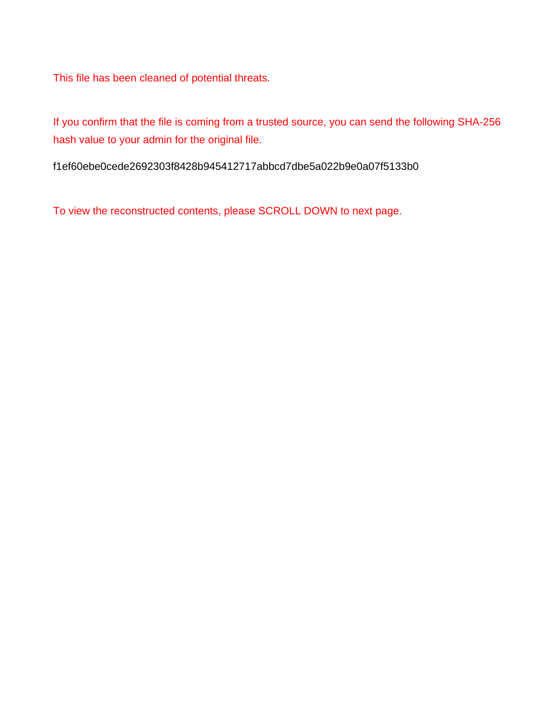This file has been cleaned of potential threats.

If you confirm that the file is coming from a trusted source, you can send the following SHA-256 hash value to your admin for the original file.

f1ef60ebe0cede2692303f8428b945412717abbcd7dbe5a022b9e0a07f5133b0

To view the reconstructed contents, please SCROLL DOWN to next page.